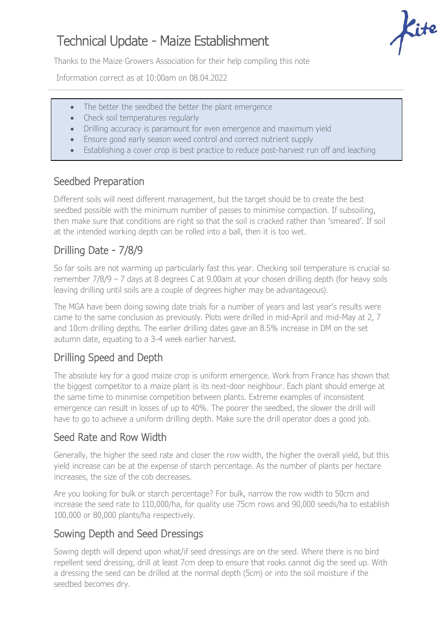# Technical Update - Maize Establishment

Thanks to the Maize Growers Association for their help compiling this note

Information correct as at 10:00am on 08.04.2022

- The better the seedbed the better the plant emergence
- Check soil temperatures regularly
- Drilling accuracy is paramount for even emergence and maximum yield
- Ensure good early season weed control and correct nutrient supply
- Establishing a cover crop is best practice to reduce post-harvest run off and leaching

#### Seedbed Preparation

Different soils will need different management, but the target should be to create the best seedbed possible with the minimum number of passes to minimise compaction. If subsoiling, then make sure that conditions are right so that the soil is cracked rather than 'smeared'. If soil at the intended working depth can be rolled into a ball, then it is too wet.

## Drilling Date - 7/8/9

So far soils are not warming up particularly fast this year. Checking soil temperature is crucial so remember 7/8/9 – 7 days at 8 degrees C at 9.00am at your chosen drilling depth (for heavy soils leaving drilling until soils are a couple of degrees higher may be advantageous).

The MGA have been doing sowing date trials for a number of years and last year's results were came to the same conclusion as previously. Plots were drilled in mid-April and mid-May at 2, 7 and 10cm drilling depths. The earlier drilling dates gave an 8.5% increase in DM on the set autumn date, equating to a 3-4 week earlier harvest.

## Drilling Speed and Depth

The absolute key for a good maize crop is uniform emergence. Work from France has shown that the biggest competitor to a maize plant is its next-door neighbour. Each plant should emerge at the same time to minimise competition between plants. Extreme examples of inconsistent emergence can result in losses of up to 40%. The poorer the seedbed, the slower the drill will have to go to achieve a uniform drilling depth. Make sure the drill operator does a good job.

#### Seed Rate and Row Width

Generally, the higher the seed rate and closer the row width, the higher the overall yield, but this yield increase can be at the expense of starch percentage. As the number of plants per hectare increases, the size of the cob decreases.

Are you looking for bulk or starch percentage? For bulk, narrow the row width to 50cm and increase the seed rate to 110,000/ha, for quality use 75cm rows and 90,000 seeds/ha to establish 100,000 or 80,000 plants/ha respectively.

## Sowing Depth and Seed Dressings

Sowing depth will depend upon what/if seed dressings are on the seed. Where there is no bird repellent seed dressing, drill at least 7cm deep to ensure that rooks cannot dig the seed up. With a dressing the seed can be drilled at the normal depth (5cm) or into the soil moisture if the seedbed becomes dry.